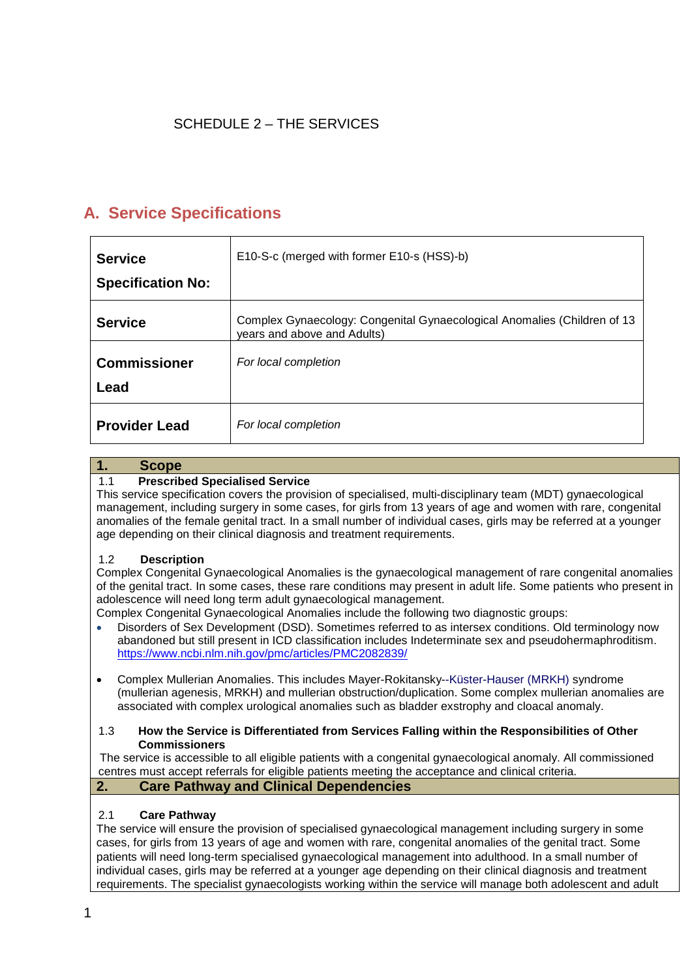# SCHEDULE 2 – THE SERVICES

# **A. Service Specifications**

| <b>Service</b>           | E10-S-c (merged with former E10-s (HSS)-b)                                                              |
|--------------------------|---------------------------------------------------------------------------------------------------------|
| <b>Specification No:</b> |                                                                                                         |
| <b>Service</b>           | Complex Gynaecology: Congenital Gynaecological Anomalies (Children of 13<br>years and above and Adults) |
| <b>Commissioner</b>      | For local completion                                                                                    |
| Lead                     |                                                                                                         |
| <b>Provider Lead</b>     | For local completion                                                                                    |

## **1. Scope**

## 1.1 **Prescribed Specialised Service**

This service specification covers the provision of specialised, multi-disciplinary team (MDT) gynaecological management, including surgery in some cases, for girls from 13 years of age and women with rare, congenital anomalies of the female genital tract. In a small number of individual cases, girls may be referred at a younger age depending on their clinical diagnosis and treatment requirements.

#### 1.2 **Description**

Complex Congenital Gynaecological Anomalies is the gynaecological management of rare congenital anomalies of the genital tract. In some cases, these rare conditions may present in adult life. Some patients who present in adolescence will need long term adult gynaecological management.

Complex Congenital Gynaecological Anomalies include the following two diagnostic groups:

- Disorders of Sex Development (DSD). Sometimes referred to as intersex conditions. Old terminology now abandoned but still present in ICD classification includes Indeterminate sex and pseudohermaphroditism. <https://www.ncbi.nlm.nih.gov/pmc/articles/PMC2082839/>
- Complex Mullerian Anomalies. This includes Mayer-Rokitansky--Küster-Hauser (MRKH) syndrome (mullerian agenesis, MRKH) and mullerian obstruction/duplication. Some complex mullerian anomalies are associated with complex urological anomalies such as bladder exstrophy and cloacal anomaly.

#### 1.3 **How the Service is Differentiated from Services Falling within the Responsibilities of Other Commissioners**

The service is accessible to all eligible patients with a congenital gynaecological anomaly. All commissioned centres must accept referrals for eligible patients meeting the acceptance and clinical criteria.

## **2. Care Pathway and Clinical Dependencies**

#### 2.1 **Care Pathway**

The service will ensure the provision of specialised gynaecological management including surgery in some cases, for girls from 13 years of age and women with rare, congenital anomalies of the genital tract. Some patients will need long-term specialised gynaecological management into adulthood. In a small number of individual cases, girls may be referred at a younger age depending on their clinical diagnosis and treatment requirements. The specialist gynaecologists working within the service will manage both adolescent and adult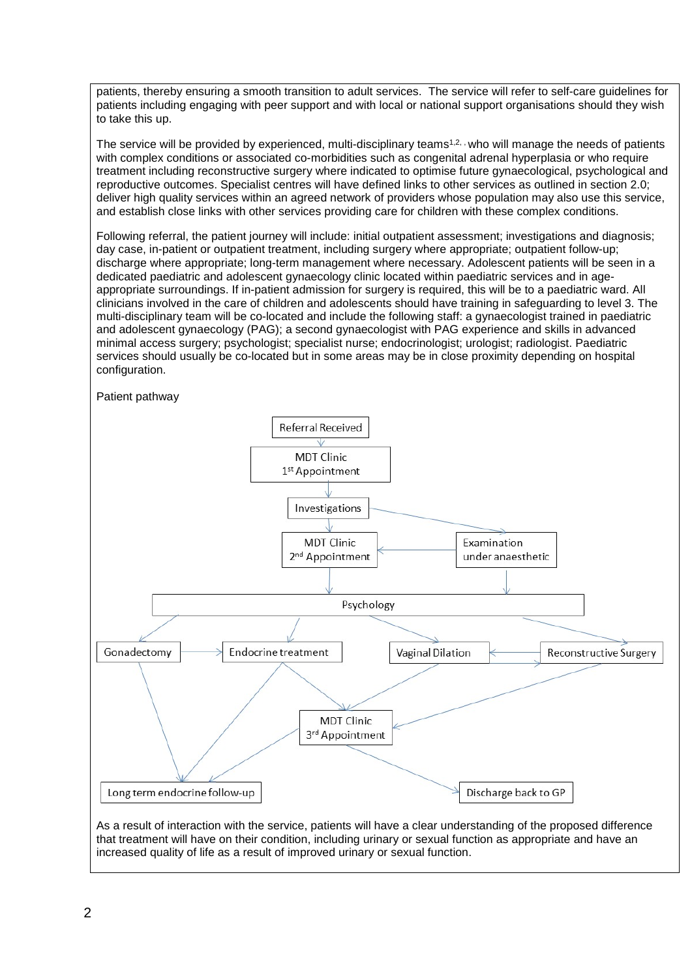patients, thereby ensuring a smooth transition to adult services. The service will refer to self-care guidelines for patients including engaging with peer support and with local or national support organisations should they wish to take this up.

The service will be provided by experienced, multi-disciplinary teams<sup>1,2, ,</sup> who will manage the needs of patients with complex conditions or associated co-morbidities such as congenital adrenal hyperplasia or who require treatment including reconstructive surgery where indicated to optimise future gynaecological, psychological and reproductive outcomes. Specialist centres will have defined links to other services as outlined in section 2.0; deliver high quality services within an agreed network of providers whose population may also use this service, and establish close links with other services providing care for children with these complex conditions.

Following referral, the patient journey will include: initial outpatient assessment; investigations and diagnosis; day case, in-patient or outpatient treatment, including surgery where appropriate; outpatient follow-up; discharge where appropriate; long-term management where necessary. Adolescent patients will be seen in a dedicated paediatric and adolescent gynaecology clinic located within paediatric services and in ageappropriate surroundings. If in-patient admission for surgery is required, this will be to a paediatric ward. All clinicians involved in the care of children and adolescents should have training in safeguarding to level 3. The multi-disciplinary team will be co-located and include the following staff: a gynaecologist trained in paediatric and adolescent gynaecology (PAG); a second gynaecologist with PAG experience and skills in advanced minimal access surgery; psychologist; specialist nurse; endocrinologist; urologist; radiologist. Paediatric services should usually be co-located but in some areas may be in close proximity depending on hospital configuration.





As a result of interaction with the service, patients will have a clear understanding of the proposed difference that treatment will have on their condition, including urinary or sexual function as appropriate and have an increased quality of life as a result of improved urinary or sexual function.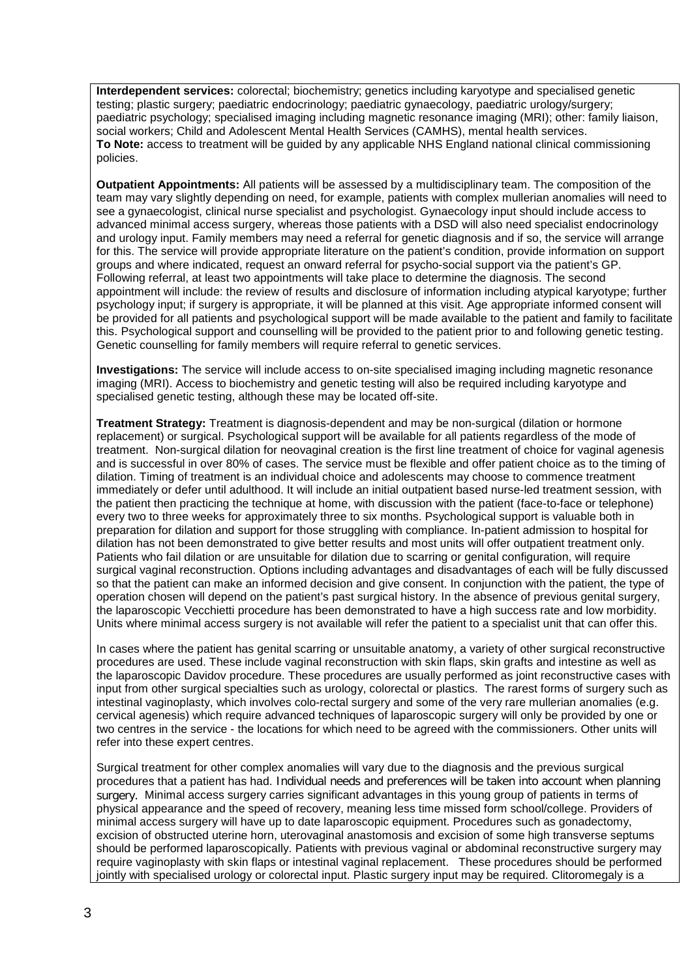**Interdependent services:** colorectal; biochemistry; genetics including karyotype and specialised genetic testing; plastic surgery; paediatric endocrinology; paediatric gynaecology, paediatric urology/surgery; paediatric psychology; specialised imaging including magnetic resonance imaging (MRI); other: family liaison, social workers; Child and Adolescent Mental Health Services (CAMHS), mental health services. **To Note:** access to treatment will be guided by any applicable NHS England national clinical commissioning policies.

**Outpatient Appointments:** All patients will be assessed by a multidisciplinary team. The composition of the team may vary slightly depending on need, for example, patients with complex mullerian anomalies will need to see a gynaecologist, clinical nurse specialist and psychologist. Gynaecology input should include access to advanced minimal access surgery, whereas those patients with a DSD will also need specialist endocrinology and urology input. Family members may need a referral for genetic diagnosis and if so, the service will arrange for this. The service will provide appropriate literature on the patient's condition, provide information on support groups and where indicated, request an onward referral for psycho-social support via the patient's GP. Following referral, at least two appointments will take place to determine the diagnosis. The second appointment will include: the review of results and disclosure of information including atypical karyotype; further psychology input; if surgery is appropriate, it will be planned at this visit. Age appropriate informed consent will be provided for all patients and psychological support will be made available to the patient and family to facilitate this. Psychological support and counselling will be provided to the patient prior to and following genetic testing. Genetic counselling for family members will require referral to genetic services.

**Investigations:** The service will include access to on-site specialised imaging including magnetic resonance imaging (MRI). Access to biochemistry and genetic testing will also be required including karyotype and specialised genetic testing, although these may be located off-site.

**Treatment Strategy:** Treatment is diagnosis-dependent and may be non-surgical (dilation or hormone replacement) or surgical. Psychological support will be available for all patients regardless of the mode of treatment. Non-surgical dilation for neovaginal creation is the first line treatment of choice for vaginal agenesis and is successful in over 80% of cases. The service must be flexible and offer patient choice as to the timing of dilation. Timing of treatment is an individual choice and adolescents may choose to commence treatment immediately or defer until adulthood. It will include an initial outpatient based nurse-led treatment session, with the patient then practicing the technique at home, with discussion with the patient (face-to-face or telephone) every two to three weeks for approximately three to six months. Psychological support is valuable both in preparation for dilation and support for those struggling with compliance. In-patient admission to hospital for dilation has not been demonstrated to give better results and most units will offer outpatient treatment only. Patients who fail dilation or are unsuitable for dilation due to scarring or genital configuration, will require surgical vaginal reconstruction. Options including advantages and disadvantages of each will be fully discussed so that the patient can make an informed decision and give consent. In conjunction with the patient, the type of operation chosen will depend on the patient's past surgical history. In the absence of previous genital surgery, the laparoscopic Vecchietti procedure has been demonstrated to have a high success rate and low morbidity. Units where minimal access surgery is not available will refer the patient to a specialist unit that can offer this.

In cases where the patient has genital scarring or unsuitable anatomy, a variety of other surgical reconstructive procedures are used. These include vaginal reconstruction with skin flaps, skin grafts and intestine as well as the laparoscopic Davidov procedure. These procedures are usually performed as joint reconstructive cases with input from other surgical specialties such as urology, colorectal or plastics. The rarest forms of surgery such as intestinal vaginoplasty, which involves colo-rectal surgery and some of the very rare mullerian anomalies (e.g. cervical agenesis) which require advanced techniques of laparoscopic surgery will only be provided by one or two centres in the service - the locations for which need to be agreed with the commissioners. Other units will refer into these expert centres.

Surgical treatment for other complex anomalies will vary due to the diagnosis and the previous surgical procedures that a patient has had. Individual needs and preferences will be taken into account when planning surgery. Minimal access surgery carries significant advantages in this young group of patients in terms of physical appearance and the speed of recovery, meaning less time missed form school/college. Providers of minimal access surgery will have up to date laparoscopic equipment. Procedures such as gonadectomy, excision of obstructed uterine horn, uterovaginal anastomosis and excision of some high transverse septums should be performed laparoscopically. Patients with previous vaginal or abdominal reconstructive surgery may require vaginoplasty with skin flaps or intestinal vaginal replacement. These procedures should be performed jointly with specialised urology or colorectal input. Plastic surgery input may be required. Clitoromegaly is a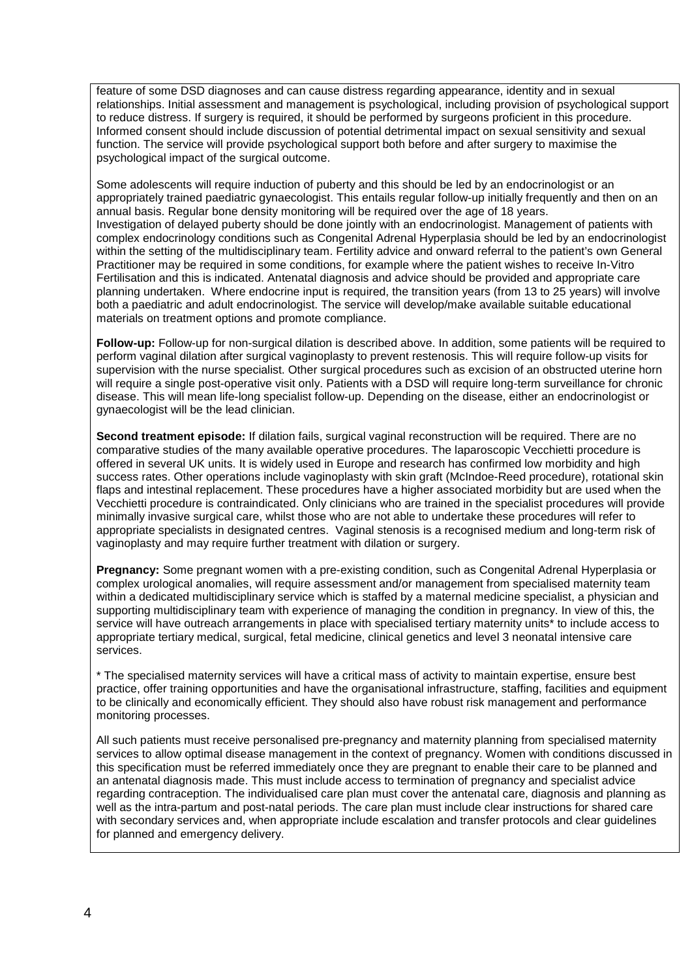feature of some DSD diagnoses and can cause distress regarding appearance, identity and in sexual relationships. Initial assessment and management is psychological, including provision of psychological support to reduce distress. If surgery is required, it should be performed by surgeons proficient in this procedure. Informed consent should include discussion of potential detrimental impact on sexual sensitivity and sexual function. The service will provide psychological support both before and after surgery to maximise the psychological impact of the surgical outcome.

Some adolescents will require induction of puberty and this should be led by an endocrinologist or an appropriately trained paediatric gynaecologist. This entails regular follow-up initially frequently and then on an annual basis. Regular bone density monitoring will be required over the age of 18 years. Investigation of delayed puberty should be done jointly with an endocrinologist. Management of patients with complex endocrinology conditions such as Congenital Adrenal Hyperplasia should be led by an endocrinologist within the setting of the multidisciplinary team. Fertility advice and onward referral to the patient's own General Practitioner may be required in some conditions, for example where the patient wishes to receive In-Vitro Fertilisation and this is indicated. Antenatal diagnosis and advice should be provided and appropriate care planning undertaken. Where endocrine input is required, the transition years (from 13 to 25 years) will involve both a paediatric and adult endocrinologist. The service will develop/make available suitable educational materials on treatment options and promote compliance.

**Follow-up:** Follow-up for non-surgical dilation is described above. In addition, some patients will be required to perform vaginal dilation after surgical vaginoplasty to prevent restenosis. This will require follow-up visits for supervision with the nurse specialist. Other surgical procedures such as excision of an obstructed uterine horn will require a single post-operative visit only. Patients with a DSD will require long-term surveillance for chronic disease. This will mean life-long specialist follow-up. Depending on the disease, either an endocrinologist or gynaecologist will be the lead clinician.

**Second treatment episode:** If dilation fails, surgical vaginal reconstruction will be required. There are no comparative studies of the many available operative procedures. The laparoscopic Vecchietti procedure is offered in several UK units. It is widely used in Europe and research has confirmed low morbidity and high success rates. Other operations include vaginoplasty with skin graft (McIndoe-Reed procedure), rotational skin flaps and intestinal replacement. These procedures have a higher associated morbidity but are used when the Vecchietti procedure is contraindicated. Only clinicians who are trained in the specialist procedures will provide minimally invasive surgical care, whilst those who are not able to undertake these procedures will refer to appropriate specialists in designated centres. Vaginal stenosis is a recognised medium and long-term risk of vaginoplasty and may require further treatment with dilation or surgery.

**Pregnancy:** Some pregnant women with a pre-existing condition, such as Congenital Adrenal Hyperplasia or complex urological anomalies, will require assessment and/or management from specialised maternity team within a dedicated multidisciplinary service which is staffed by a maternal medicine specialist, a physician and supporting multidisciplinary team with experience of managing the condition in pregnancy. In view of this, the service will have outreach arrangements in place with specialised tertiary maternity units\* to include access to appropriate tertiary medical, surgical, fetal medicine, clinical genetics and level 3 neonatal intensive care services.

\* The specialised maternity services will have a critical mass of activity to maintain expertise, ensure best practice, offer training opportunities and have the organisational infrastructure, staffing, facilities and equipment to be clinically and economically efficient. They should also have robust risk management and performance monitoring processes.

All such patients must receive personalised pre-pregnancy and maternity planning from specialised maternity services to allow optimal disease management in the context of pregnancy. Women with conditions discussed in this specification must be referred immediately once they are pregnant to enable their care to be planned and an antenatal diagnosis made. This must include access to termination of pregnancy and specialist advice regarding contraception. The individualised care plan must cover the antenatal care, diagnosis and planning as well as the intra-partum and post-natal periods. The care plan must include clear instructions for shared care with secondary services and, when appropriate include escalation and transfer protocols and clear guidelines for planned and emergency delivery.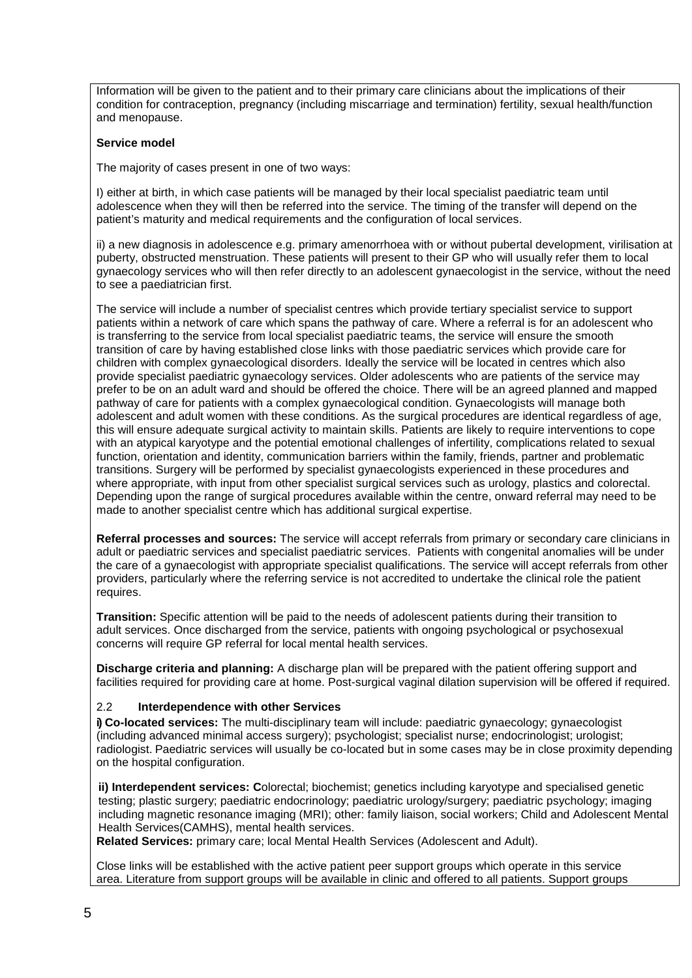Information will be given to the patient and to their primary care clinicians about the implications of their condition for contraception, pregnancy (including miscarriage and termination) fertility, sexual health/function and menopause.

#### **Service model**

The majority of cases present in one of two ways:

I) either at birth, in which case patients will be managed by their local specialist paediatric team until adolescence when they will then be referred into the service. The timing of the transfer will depend on the patient's maturity and medical requirements and the configuration of local services.

ii) a new diagnosis in adolescence e.g. primary amenorrhoea with or without pubertal development, virilisation at puberty, obstructed menstruation. These patients will present to their GP who will usually refer them to local gynaecology services who will then refer directly to an adolescent gynaecologist in the service, without the need to see a paediatrician first.

The service will include a number of specialist centres which provide tertiary specialist service to support patients within a network of care which spans the pathway of care. Where a referral is for an adolescent who is transferring to the service from local specialist paediatric teams, the service will ensure the smooth transition of care by having established close links with those paediatric services which provide care for children with complex gynaecological disorders. Ideally the service will be located in centres which also provide specialist paediatric gynaecology services. Older adolescents who are patients of the service may prefer to be on an adult ward and should be offered the choice. There will be an agreed planned and mapped pathway of care for patients with a complex gynaecological condition. Gynaecologists will manage both adolescent and adult women with these conditions. As the surgical procedures are identical regardless of age, this will ensure adequate surgical activity to maintain skills. Patients are likely to require interventions to cope with an atypical karyotype and the potential emotional challenges of infertility, complications related to sexual function, orientation and identity, communication barriers within the family, friends, partner and problematic transitions. Surgery will be performed by specialist gynaecologists experienced in these procedures and where appropriate, with input from other specialist surgical services such as urology, plastics and colorectal. Depending upon the range of surgical procedures available within the centre, onward referral may need to be made to another specialist centre which has additional surgical expertise.

**Referral processes and sources:** The service will accept referrals from primary or secondary care clinicians in adult or paediatric services and specialist paediatric services. Patients with congenital anomalies will be under the care of a gynaecologist with appropriate specialist qualifications. The service will accept referrals from other providers, particularly where the referring service is not accredited to undertake the clinical role the patient requires.

**Transition:** Specific attention will be paid to the needs of adolescent patients during their transition to adult services. Once discharged from the service, patients with ongoing psychological or psychosexual concerns will require GP referral for local mental health services.

**Discharge criteria and planning:** A discharge plan will be prepared with the patient offering support and facilities required for providing care at home. Post-surgical vaginal dilation supervision will be offered if required.

## 2.2 **Interdependence with other Services**

**i) Co-located services:** The multi-disciplinary team will include: paediatric gynaecology; gynaecologist (including advanced minimal access surgery); psychologist; specialist nurse; endocrinologist; urologist; radiologist. Paediatric services will usually be co-located but in some cases may be in close proximity depending on the hospital configuration.

**ii) Interdependent services: C**olorectal; biochemist; genetics including karyotype and specialised genetic testing; plastic surgery; paediatric endocrinology; paediatric urology/surgery; paediatric psychology; imaging including magnetic resonance imaging (MRI); other: family liaison, social workers; Child and Adolescent Mental Health Services(CAMHS), mental health services.

**Related Services:** primary care; local Mental Health Services (Adolescent and Adult).

Close links will be established with the active patient peer support groups which operate in this service area. Literature from support groups will be available in clinic and offered to all patients. Support groups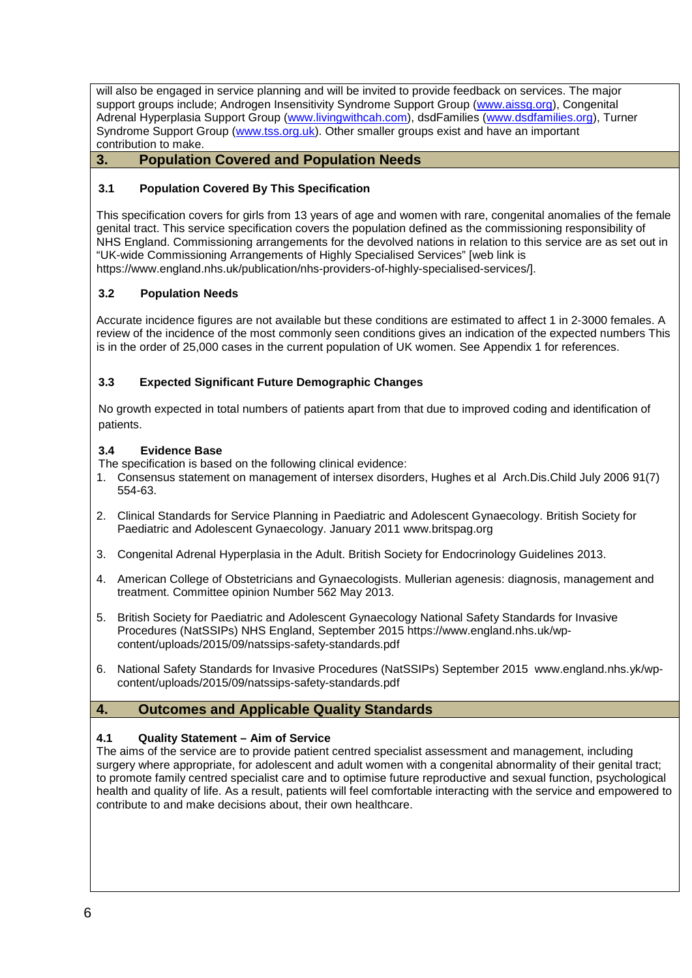will also be engaged in service planning and will be invited to provide feedback on services. The major support groups include; Androgen Insensitivity Syndrome Support Group [\(www.aissg.org\)](http://www.aissg.org/), Congenital Adrenal Hyperplasia Support Group [\(www.livingwithcah.com\)](http://www.livingwithcah.com/), dsdFamilies [\(www.dsdfamilies.org\)](http://www.dsdfamilies.org/), Turner Syndrome Support Group [\(www.tss.org.uk\)](http://www.tss.org.uk/). Other smaller groups exist and have an important contribution to make.

## **3. Population Covered and Population Needs**

## **3.1 Population Covered By This Specification**

This specification covers for girls from 13 years of age and women with rare, congenital anomalies of the female genital tract. This service specification covers the population defined as the commissioning responsibility of NHS England. Commissioning arrangements for the devolved nations in relation to this service are as set out in "UK-wide Commissioning Arrangements of Highly Specialised Services" [web link is https://www.england.nhs.uk/publication/nhs-providers-of-highly-specialised-services/].

## **3.2 Population Needs**

Accurate incidence figures are not available but these conditions are estimated to affect 1 in 2-3000 females. A review of the incidence of the most commonly seen conditions gives an indication of the expected numbers This is in the order of 25,000 cases in the current population of UK women. See Appendix 1 for references.

## **3.3 Expected Significant Future Demographic Changes**

No growth expected in total numbers of patients apart from that due to improved coding and identification of patients.

#### **3.4 Evidence Base**

The specification is based on the following clinical evidence:

- 1. Consensus statement on management of intersex disorders, Hughes et al Arch.Dis.Child July 2006 91(7) 554-63.
- 2. Clinical Standards for Service Planning in Paediatric and Adolescent Gynaecology. British Society for Paediatric and Adolescent Gynaecology. January 2011 www.britspag.org
- 3. Congenital Adrenal Hyperplasia in the Adult. British Society for Endocrinology Guidelines 2013.
- 4. American College of Obstetricians and Gynaecologists. Mullerian agenesis: diagnosis, management and treatment. Committee opinion Number 562 May 2013.
- 5. British Society for Paediatric and Adolescent Gynaecology National Safety Standards for Invasive Procedures (NatSSIPs) NHS England, September 2015 [https://www.england.nhs.uk/wp](https://www.england.nhs.uk/wp-content/uploads/2015/09/natssips-safety-standards.pdf)[content/uploads/2015/09/natssips-safety-standards.pdf](https://www.england.nhs.uk/wp-content/uploads/2015/09/natssips-safety-standards.pdf)
- 6. National Safety Standards for Invasive Procedures (NatSSIPs) September 2015 www.england.nhs.yk/wpcontent/uploads/2015/09/natssips-safety-standards.pdf

## **4. Outcomes and Applicable Quality Standards**

#### **4.1 Quality Statement – Aim of Service**

The aims of the service are to provide patient centred specialist assessment and management, including surgery where appropriate, for adolescent and adult women with a congenital abnormality of their genital tract; to promote family centred specialist care and to optimise future reproductive and sexual function, psychological health and quality of life. As a result, patients will feel comfortable interacting with the service and empowered to contribute to and make decisions about, their own healthcare.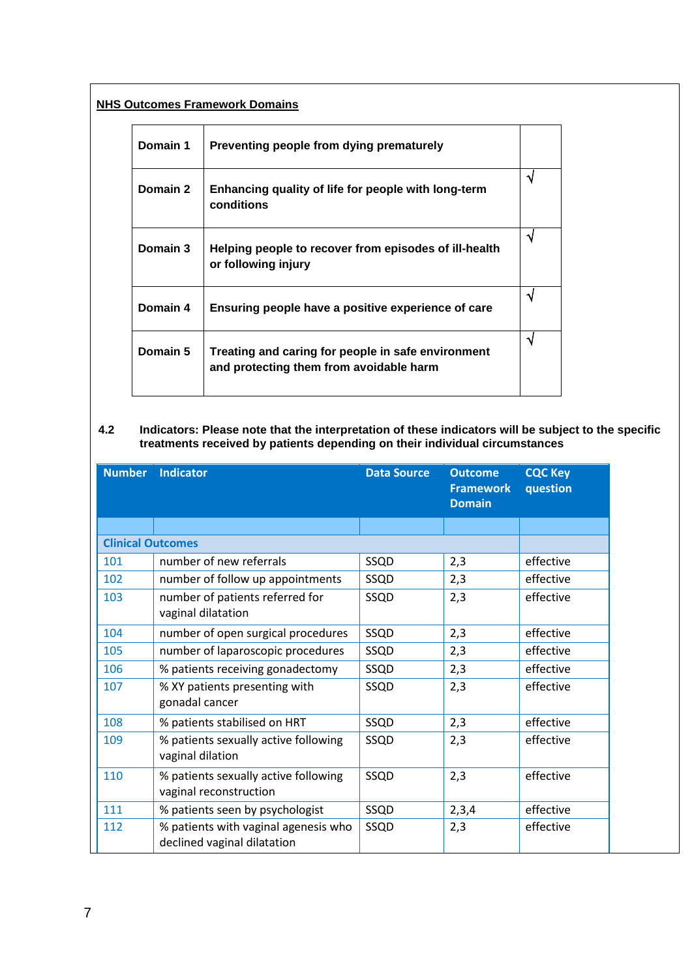# **NHS Outcomes Framework Domains**

| Domain 1 | Preventing people from dying prematurely                                                      |    |
|----------|-----------------------------------------------------------------------------------------------|----|
| Domain 2 | Enhancing quality of life for people with long-term<br>conditions                             | ٦ι |
| Domain 3 | Helping people to recover from episodes of ill-health<br>or following injury                  | N  |
| Domain 4 | Ensuring people have a positive experience of care                                            | N  |
| Domain 5 | Treating and caring for people in safe environment<br>and protecting them from avoidable harm | N  |

#### **4.2 Indicators: Please note that the interpretation of these indicators will be subject to the specific treatments received by patients depending on their individual circumstances**

| <b>Number</b>            | <b>Indicator</b>                                                    | <b>Data Source</b> | <b>Outcome</b><br><b>Framework</b><br><b>Domain</b> | <b>CQC Key</b><br>question |
|--------------------------|---------------------------------------------------------------------|--------------------|-----------------------------------------------------|----------------------------|
|                          |                                                                     |                    |                                                     |                            |
| <b>Clinical Outcomes</b> |                                                                     |                    |                                                     |                            |
| 101                      | number of new referrals                                             | SSQD               | 2,3                                                 | effective                  |
| 102                      | number of follow up appointments                                    | SSQD               | 2,3                                                 | effective                  |
| 103                      | number of patients referred for<br>vaginal dilatation               | SSQD               | 2,3                                                 | effective                  |
| 104                      | number of open surgical procedures                                  | SSQD               | 2,3                                                 | effective                  |
| 105                      | number of laparoscopic procedures                                   | SSQD               | 2,3                                                 | effective                  |
| 106                      | % patients receiving gonadectomy                                    | SSQD               | 2,3                                                 | effective                  |
| 107                      | % XY patients presenting with<br>gonadal cancer                     | SSQD               | 2,3                                                 | effective                  |
| 108                      | % patients stabilised on HRT                                        | SSQD               | 2,3                                                 | effective                  |
| 109                      | % patients sexually active following<br>vaginal dilation            | SSQD               | 2,3                                                 | effective                  |
| 110                      | % patients sexually active following<br>vaginal reconstruction      | SSQD               | 2,3                                                 | effective                  |
| 111                      | % patients seen by psychologist                                     | SSQD               | 2,3,4                                               | effective                  |
| 112                      | % patients with vaginal agenesis who<br>declined vaginal dilatation | SSQD               | 2,3                                                 | effective                  |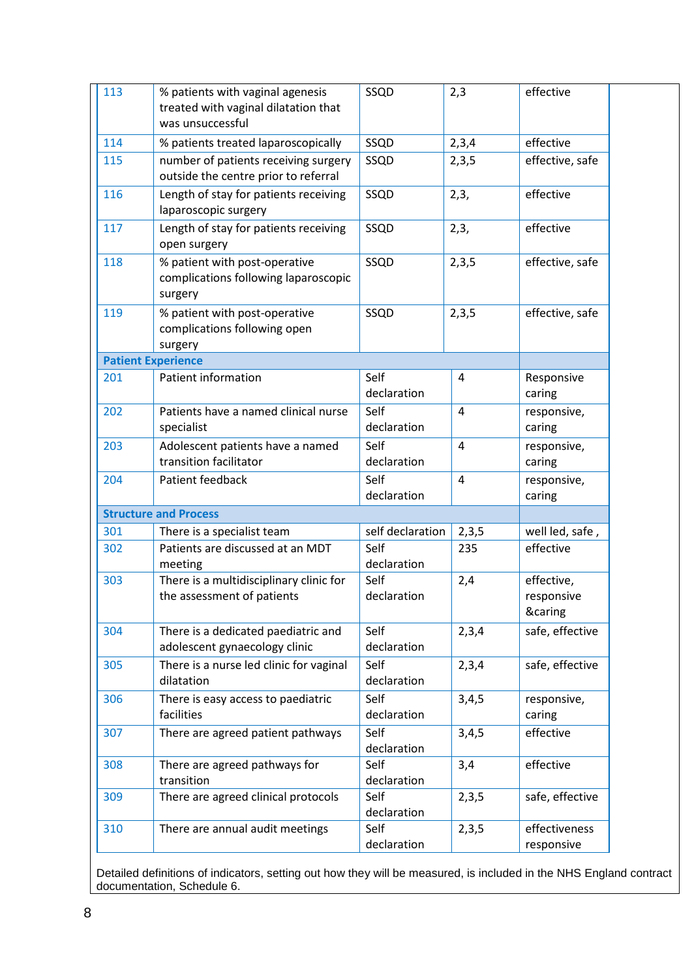| 113        | % patients with vaginal agenesis<br>treated with vaginal dilatation that<br>was unsuccessful | SSQD                        | 2,3            | effective                           |
|------------|----------------------------------------------------------------------------------------------|-----------------------------|----------------|-------------------------------------|
| 114        | % patients treated laparoscopically                                                          | SSQD                        | 2,3,4          | effective                           |
| 115        | number of patients receiving surgery<br>outside the centre prior to referral                 | SSQD                        | 2,3,5          | effective, safe                     |
| 116        | Length of stay for patients receiving<br>laparoscopic surgery                                | SSQD                        | 2,3,           | effective                           |
| 117        | Length of stay for patients receiving<br>open surgery                                        | SSQD                        | 2,3,           | effective                           |
| 118        | % patient with post-operative<br>complications following laparoscopic<br>surgery             | SSQD                        | 2,3,5          | effective, safe                     |
| 119        | % patient with post-operative<br>complications following open<br>surgery                     | SSQD                        | 2,3,5          | effective, safe                     |
|            | <b>Patient Experience</b>                                                                    |                             |                |                                     |
| 201        | Patient information                                                                          | Self<br>declaration         | 4              | Responsive<br>caring                |
| 202        | Patients have a named clinical nurse<br>specialist                                           | Self<br>declaration         | $\overline{4}$ | responsive,<br>caring               |
| 203        | Adolescent patients have a named<br>transition facilitator                                   | Self<br>declaration         | $\overline{4}$ | responsive,<br>caring               |
| 204        | Patient feedback                                                                             | Self<br>declaration         | $\overline{4}$ | responsive,<br>caring               |
|            | <b>Structure and Process</b>                                                                 |                             |                |                                     |
| 301        | There is a specialist team                                                                   | self declaration            | 2,3,5          | well led, safe,                     |
| 302        | Patients are discussed at an MDT<br>meeting                                                  | Self<br>declaration         | 235            | effective                           |
| 303        | There is a multidisciplinary clinic for<br>the assessment of patients                        | Self<br>declaration         | 2,4            | effective,<br>responsive<br>&caring |
| 304        | There is a dedicated paediatric and<br>adolescent gynaecology clinic                         | Self<br>declaration         | 2,3,4          | safe, effective                     |
| 305        | There is a nurse led clinic for vaginal<br>dilatation                                        | Self<br>declaration         | 2,3,4          | safe, effective                     |
| 306        | There is easy access to paediatric<br>facilities                                             | Self<br>declaration         | 3,4,5          | responsive,<br>caring               |
| 307        | There are agreed patient pathways                                                            | Self<br>declaration         | 3,4,5          | effective                           |
| 308        | There are agreed pathways for<br>transition                                                  | Self<br>declaration         | 3,4            | effective                           |
|            |                                                                                              |                             |                |                                     |
| 309<br>310 | There are agreed clinical protocols<br>There are annual audit meetings                       | Self<br>declaration<br>Self | 2,3,5<br>2,3,5 | safe, effective<br>effectiveness    |

Detailed definitions of indicators, setting out how they will be measured, is included in the NHS England contract documentation, Schedule 6.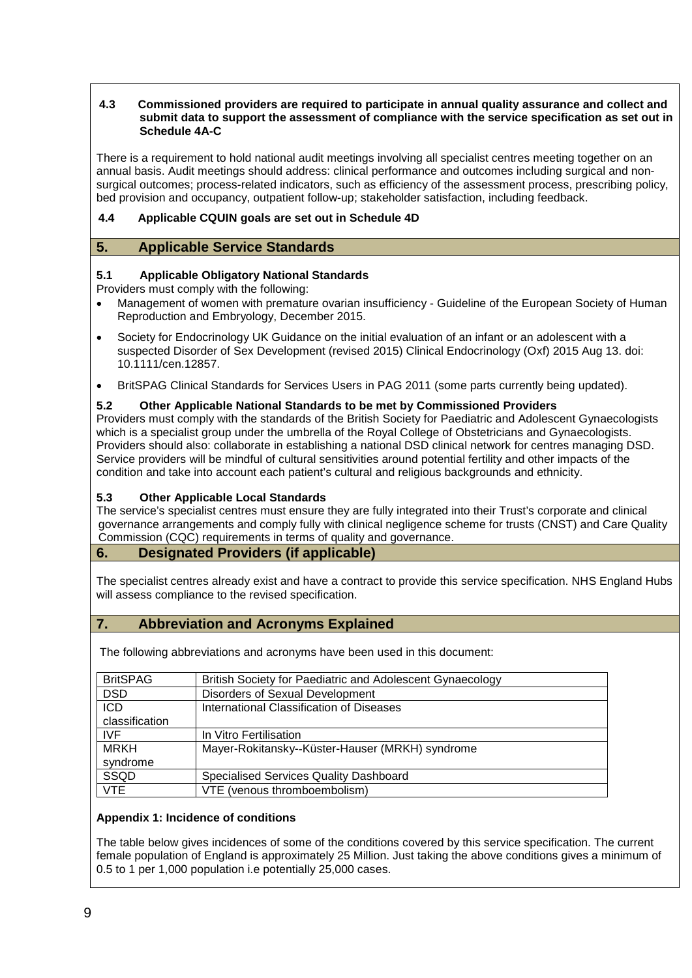#### **4.3 Commissioned providers are required to participate in annual quality assurance and collect and submit data to support the assessment of compliance with the service specification as set out in Schedule 4A-C**

There is a requirement to hold national audit meetings involving all specialist centres meeting together on an annual basis. Audit meetings should address: clinical performance and outcomes including surgical and nonsurgical outcomes; process-related indicators, such as efficiency of the assessment process, prescribing policy, bed provision and occupancy, outpatient follow-up; stakeholder satisfaction, including feedback.

## **4.4 Applicable CQUIN goals are set out in Schedule 4D**

## **5. Applicable Service Standards**

## **5.1 Applicable Obligatory National Standards**

Providers must comply with the following:

- Management of women with premature ovarian insufficiency Guideline of the European Society of Human Reproduction and Embryology, December 2015.
- Society for Endocrinology UK Guidance on the initial evaluation of an infant or an adolescent with a suspected Disorder of Sex Development (revised 2015) Clinical Endocrinology (Oxf) 2015 Aug 13. doi: 10.1111/cen.12857.
- BritSPAG Clinical Standards for Services Users in PAG 2011 (some parts currently being updated).

## **5.2 Other Applicable National Standards to be met by Commissioned Providers**

Providers must comply with the standards of the British Society for Paediatric and Adolescent Gynaecologists which is a specialist group under the umbrella of the Royal College of Obstetricians and Gynaecologists. Providers should also: collaborate in establishing a national DSD clinical network for centres managing DSD. Service providers will be mindful of cultural sensitivities around potential fertility and other impacts of the condition and take into account each patient's cultural and religious backgrounds and ethnicity.

## **5.3 Other Applicable Local Standards**

The service's specialist centres must ensure they are fully integrated into their Trust's corporate and clinical governance arrangements and comply fully with clinical negligence scheme for trusts (CNST) and Care Quality Commission (CQC) requirements in terms of quality and governance.

## **6. Designated Providers (if applicable)**

The specialist centres already exist and have a contract to provide this service specification. NHS England Hubs will assess compliance to the revised specification.

## **7. Abbreviation and Acronyms Explained**

The following abbreviations and acronyms have been used in this document:

| <b>BritSPAG</b> | British Society for Paediatric and Adolescent Gynaecology |
|-----------------|-----------------------------------------------------------|
| <b>DSD</b>      | Disorders of Sexual Development                           |
| <b>ICD</b>      | International Classification of Diseases                  |
| classification  |                                                           |
| <b>IVF</b>      | In Vitro Fertilisation                                    |
| <b>MRKH</b>     | Mayer-Rokitansky--Küster-Hauser (MRKH) syndrome           |
| syndrome        |                                                           |
| SSQD            | Specialised Services Quality Dashboard                    |
| <b>VTE</b>      | VTE (venous thromboembolism)                              |

## **Appendix 1: Incidence of conditions**

The table below gives incidences of some of the conditions covered by this service specification. The current female population of England is approximately 25 Million. Just taking the above conditions gives a minimum of 0.5 to 1 per 1,000 population i.e potentially 25,000 cases.